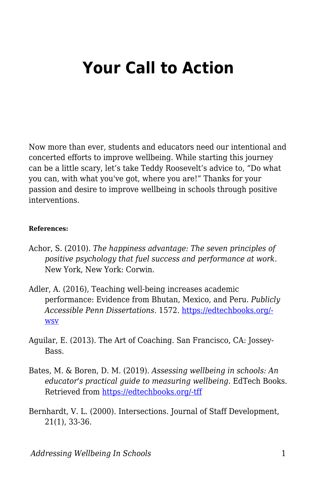## **Your Call to Action**

Now more than ever, students and educators need our intentional and concerted efforts to improve wellbeing. While starting this journey can be a little scary, let's take Teddy Roosevelt's advice to, "Do what you can, with what you've got, where you are!" Thanks for your passion and desire to improve wellbeing in schools through positive interventions.

## **References:**

- Achor, S. (2010). *The happiness advantage: The seven principles of positive psychology that fuel success and performance at work*. New York, New York: Corwin.
- Adler, A. (2016), Teaching well-being increases academic performance: Evidence from Bhutan, Mexico, and Peru. *Publicly Accessible Penn Dissertations*. 1572. [https://edtechbooks.org/](https://repository.upenn.edu/edissertations/1572) **[wsv](https://repository.upenn.edu/edissertations/1572)**
- Aguilar, E. (2013). The Art of Coaching. San Francisco, CA: Jossey-**Bass**
- Bates, M. & Boren, D. M. (2019). *Assessing wellbeing in schools: An educator's practical guide to measuring wellbeing*. EdTech Books. Retrieved from [https://edtechbooks.org/-tff](https://edtechbooks.org/wellbeing)
- Bernhardt, V. L. (2000). Intersections. Journal of Staff Development, 21(1), 33-36.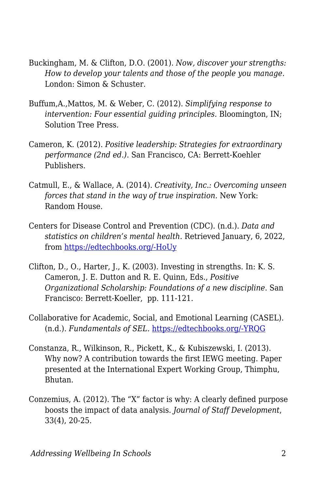- Buckingham, M. & Clifton, D.O. (2001). *Now, discover your strengths: How to develop your talents and those of the people you manage.* London: Simon & Schuster.
- Buffum,A.,Mattos, M. & Weber, C. (2012). *Simplifying response to intervention: Four essential guiding principles.* Bloomington, IN; Solution Tree Press.
- Cameron, K. (2012). *Positive leadership: Strategies for extraordinary performance (2nd ed.)*. San Francisco, CA: Berrett-Koehler Publishers.
- Catmull, E., & Wallace, A. (2014). *Creativity, Inc.: Overcoming unseen forces that stand in the way of true inspiration.* New York: Random House.
- Centers for Disease Control and Prevention (CDC). (n.d.). *Data and statistics on children's mental health.* Retrieved January, 6, 2022, from [https://edtechbooks.org/-HoUy](https://www.cdc.gov/childrensmentalhealth/data.html)
- Clifton, D., O., Harter, J., K. (2003). Investing in strengths. In: K. S. Cameron, J. E. Dutton and R. E. Quinn, Eds., *Positive Organizational Scholarship: Foundations of a new discipline*. San Francisco: Berrett-Koeller, pp. 111-121.
- Collaborative for Academic, Social, and Emotional Learning (CASEL). (n.d.). *Fundamentals of SEL.* [https://edtechbooks.org/-YRQG](https://casel.org/fundamentals-of-sel/)
- Constanza, R., Wilkinson, R., Pickett, K., & Kubiszewski, I. (2013). Why now? A contribution towards the first IEWG meeting. Paper presented at the International Expert Working Group, Thimphu, Bhutan.
- Conzemius, A. (2012). The "X" factor is why: A clearly defined purpose boosts the impact of data analysis. *Journal of Staff Development*, 33(4), 20-25.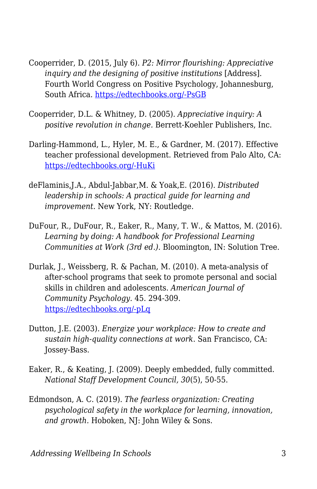- Cooperrider, D. (2015, July 6). *P2: Mirror flourishing: Appreciative inquiry and the designing of positive institutions* [Address]. Fourth World Congress on Positive Psychology, Johannesburg, South Africa. [https://edtechbooks.org/-PsGB](https://weatherhead.case.edu/media/videos/list/AIM2Flourish/play/mirror-flourishing)
- Cooperrider, D.L. & Whitney, D. (2005). *Appreciative inquiry: A positive revolution in change.* Berrett-Koehler Publishers, Inc.
- Darling-Hammond, L., Hyler, M. E., & Gardner, M. (2017). Effective teacher professional development. Retrieved from Palo Alto, CA: [https://edtechbooks.org/-HuKi](https://learningpolicyinstitute.org/product/effective-teacher-professional-development-report)
- deFlaminis,J.A., Abdul-Jabbar,M. & Yoak,E. (2016). *Distributed leadership in schools: A practical guide for learning and improvement.* New York, NY: Routledge.
- DuFour, R., DuFour, R., Eaker, R., Many, T. W., & Mattos, M. (2016). *Learning by doing: A handbook for Professional Learning Communities at Work (3rd ed.).* Bloomington, IN: Solution Tree.
- Durlak, J., Weissberg, R. & Pachan, M. (2010). A meta-analysis of after-school programs that seek to promote personal and social skills in children and adolescents. *American Journal of Community Psychology.* 45. 294-309. [https://edtechbooks.org/-pLq](https://pubmed.ncbi.nlm.nih.gov/20300825/)
- Dutton, J.E. (2003). *Energize your workplace: How to create and sustain high-quality connections at work*. San Francisco, CA: Jossey-Bass.
- Eaker, R., & Keating, J. (2009). Deeply embedded, fully committed. *National Staff Development Council, 30*(5), 50-55.
- Edmondson, A. C. (2019). *The fearless organization: Creating psychological safety in the workplace for learning, innovation, and growth.* Hoboken, NJ: John Wiley & Sons.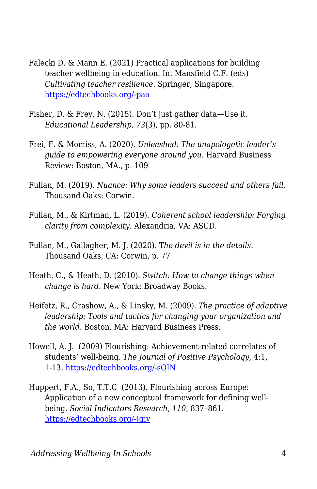- Falecki D. & Mann E. (2021) Practical applications for building teacher wellbeing in education. In: Mansfield C.F. (eds) *Cultivating teacher resilience*. Springer, Singapore. [https://edtechbooks.org/-paa](https://doi.org/10.1007/978-981-15-5963-1_11)
- Fisher, D. & Frey, N. (2015). Don't just gather data—Use it. *Educational Leadership, 73*(3), pp. 80-81.
- Frei, F. & Morriss, A. (2020). *Unleashed: The unapologetic leader's guide to empowering everyone around you.* Harvard Business Review: Boston, MA., p. 109
- Fullan, M. (2019). *Nuance: Why some leaders succeed and others fail*. Thousand Oaks: Corwin.
- Fullan, M., & Kirtman, L. (2019). *Coherent school leadership: Forging clarity from complexity.* Alexandria, VA: ASCD.
- Fullan, M., Gallagher, M. J. (2020). T*he devil is in the details.* Thousand Oaks, CA: Corwin, p. 77
- Heath, C., & Heath, D. (2010). *Switch: How to change things when change is hard.* New York: Broadway Books.
- Heifetz, R., Grashow, A., & Linsky, M. (2009). *The practice of adaptive leadership: Tools and tactics for changing your organization and the world*. Boston, MA: Harvard Business Press.
- Howell, A. J. (2009) Flourishing: Achievement-related correlates of students' well-being. *The Journal of Positive Psychology*, 4:1, 1-13, [https://edtechbooks.org/-sQIN](https://www.tandfonline.com/doi/abs/10.1080/17439760802043459)
- Huppert, F.A., So, T.T.C (2013). Flourishing across Europe: Application of a new conceptual framework for defining wellbeing. *Social Indicators Research, 110*, 837–861. [https://edtechbooks.org/-Jqiv](https://doi.org/10.1007/s11205-011-9966-7)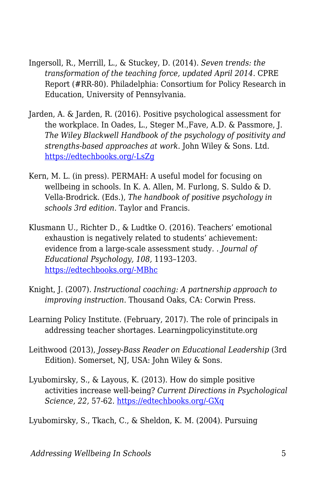- Ingersoll, R., Merrill, L., & Stuckey, D. (2014). *Seven trends: the transformation of the teaching force, updated April 2014*. CPRE Report (#RR-80). Philadelphia: Consortium for Policy Research in Education, University of Pennsylvania.
- Jarden, A. & Jarden, R. (2016). Positive psychological assessment for the workplace. In Oades, L., Steger M.,Fave, A.D. & Passmore, J. *The Wiley Blackwell Handbook of the psychology of positivity and strengths-based approaches at work.* John Wiley & Sons. Ltd. [https://edtechbooks.org/-LsZg](https://doi.org/10.1002/9781118977620)
- Kern, M. L. (in press). PERMAH: A useful model for focusing on wellbeing in schools. In K. A. Allen, M. Furlong, S. Suldo & D. Vella-Brodrick. (Eds.), *The handbook of positive psychology in schools 3rd edition*. Taylor and Francis.
- Klusmann U., Richter D., & Ludtke O. (2016). Teachers' emotional exhaustion is negatively related to students' achievement: evidence from a large-scale assessment study. . *Journal of Educational Psychology, 108,* 1193–1203. [https://edtechbooks.org/-MBhc](https://doi.org/10.1037/edu0000125)
- Knight, J. (2007). *Instructional coaching: A partnership approach to improving instruction.* Thousand Oaks, CA: Corwin Press.
- Learning Policy Institute. (February, 2017). The role of principals in addressing teacher shortages. Learningpolicyinstitute.org
- Leithwood (2013), *Jossey-Bass Reader on Educational Leadership* (3rd Edition). Somerset, NJ, USA: John Wiley & Sons.
- Lyubomirsky, S., & Layous, K. (2013). How do simple positive activities increase well-being? *Current Directions in Psychological Science, 22,* 57-62. [https://edtechbooks.org/-GXq](https://doi.org/10.1177/0963721412469809)

Lyubomirsky, S., Tkach, C., & Sheldon, K. M. (2004). Pursuing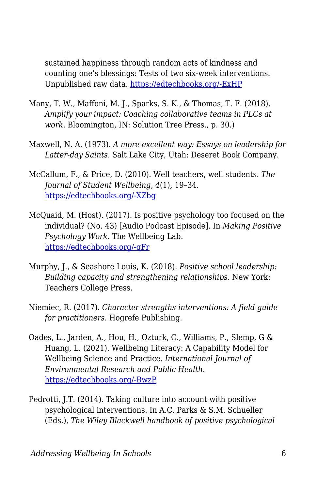sustained happiness through random acts of kindness and counting one's blessings: Tests of two six-week interventions. Unpublished raw data. [https://edtechbooks.org/-ExHP](https://doi.org/10.1037%2F1089-2680.9.2.111)

- Many, T. W., Maffoni, M. J., Sparks, S. K., & Thomas, T. F. (2018). *Amplify your impact: Coaching collaborative teams in PLCs at work*. Bloomington, IN: Solution Tree Press., p. 30.)
- Maxwell, N. A. (1973). *A more excellent way: Essays on leadership for Latter-day Saints.* Salt Lake City, Utah: Deseret Book Company.
- McCallum, F., & Price, D. (2010). Well teachers, well students. *The Journal of Student Wellbeing, 4*(1), 19–34. [https://edtechbooks.org/-XZbg](https://doi.org/10.21913/JSW.v4i1.599)
- McQuaid, M. (Host). (2017). Is positive psychology too focused on the individual? (No. 43) [Audio Podcast Episode]. In *Making Positive Psychology Work.* The Wellbeing Lab. [https://edtechbooks.org/-qFr](https://www.michellemcquaid.com/podcast/mppw43-peggy-kern/)
- Murphy, J., & Seashore Louis, K. (2018). *Positive school leadership: Building capacity and strengthening relationships*. New York: Teachers College Press.
- Niemiec, R. (2017). *Character strengths interventions: A field guide for practitioners*. Hogrefe Publishing.
- Oades, L., Jarden, A., Hou, H., Ozturk, C., Williams, P., Slemp, G & Huang, L. (2021). Wellbeing Literacy: A Capability Model for Wellbeing Science and Practice. *International Journal of Environmental Research and Public Health*. [https://edtechbooks.org/-BwzP](https://doi.org/10.3390/ijerph18020719)
- Pedrotti, J.T. (2014). Taking culture into account with positive psychological interventions. In A.C. Parks & S.M. Schueller (Eds.), *The Wiley Blackwell handbook of positive psychological*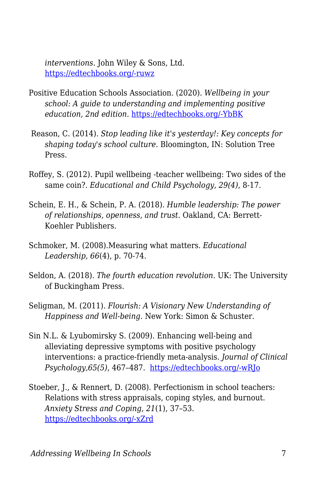*interventions.* John Wiley & Sons, Ltd. [https://edtechbooks.org/-ruwz](https://doi.org/10.1002/9781118315927.ch23)

- Positive Education Schools Association. (2020). *Wellbeing in your school: A guide to understanding and implementing positive education, 2nd edition.* [https://edtechbooks.org/-YbBK](https://www.pesa.edu.au/positive-education-guide/)
- Reason, C. (2014). *Stop leading like it's yesterday!: Key concepts for shaping today's school culture.* Bloomington, IN: Solution Tree Press.
- Roffey, S. (2012). Pupil wellbeing -teacher wellbeing: Two sides of the same coin?. *Educational and Child Psychology*, *29(4)*, 8-17.
- Schein, E. H., & Schein, P. A. (2018). *Humble leadership: The power of relationships, openness, and trust.* Oakland, CA: Berrett-Koehler Publishers.
- Schmoker, M. (2008).Measuring what matters. *Educational Leadership, 66*(4), p. 70-74.
- Seldon, A. (2018). *The fourth education revolution*. UK: The University of Buckingham Press.
- Seligman, M. (2011). *Flourish: A Visionary New Understanding of Happiness and Well-being*. New York: Simon & Schuster.
- Sin N.L. & Lyubomirsky S. (2009). Enhancing well-being and alleviating depressive symptoms with positive psychology interventions: a practice-friendly meta-analysis. *Journal of Clinical Psychology,65(5)*, 467–487. [https://edtechbooks.org/-wRJo](https://doi.org/10.1002/jclp.20593)
- Stoeber, J., & Rennert, D. (2008). Perfectionism in school teachers: Relations with stress appraisals, coping styles, and burnout. *Anxiety Stress and Coping, 21*(1), 37–53. [https://edtechbooks.org/-xZrd](https://doi.org/10.1080/10615800701742461)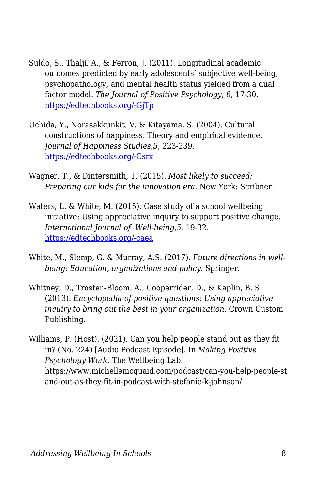- Suldo, S., Thalji, A., & Ferron, J. (2011). Longitudinal academic outcomes predicted by early adolescents' subjective well-being, psychopathology, and mental health status yielded from a dual factor model. *The Journal of Positive Psychology*, *6*, 17-30. [https://edtechbooks.org/-GjTp](https://doi.org/10.1080/17439760.2010.536774)
- Uchida, Y., Norasakkunkit, V. & Kitayama, S. (2004). Cultural constructions of happiness: Theory and empirical evidence. *Journal of Happiness Studies,5*, 223-239. [https://edtechbooks.org/-Csrx](https://doi.org/10.1007/s10902-004-8785-9)
- Wagner, T., & Dintersmith, T. (2015). *Most likely to succeed: Preparing our kids for the innovation era.* New York: Scribner.
- Waters, L. & White, M. (2015). Case study of a school wellbeing initiative: Using appreciative inquiry to support positive change. *International Journal of Well-being*,*5*, 19-32. [https://edtechbooks.org/-caea](https://doi.org/10.5502/ijw.v5i1.2)
- White, M., Slemp, G. & Murray, A.S. (2017). *Future directions in wellbeing: Education, organizations and policy.* Springer.
- Whitney, D., Trosten-Bloom, A., Cooperrider, D., & Kaplin, B. S. (2013). *Encyclopedia of positive questions: Using appreciative inquiry to bring out the best in your organization*. Crown Custom Publishing.
- Williams, P. (Host). (2021). Can you help people stand out as they fit in? (No. 224) [Audio Podcast Episode]. In *Making Positive Psychology Work.* The Wellbeing Lab. https://www.michellemcquaid.com/podcast/can-you-help-people-st and-out-as-they-fit-in-podcast-with-stefanie-k-johnson/